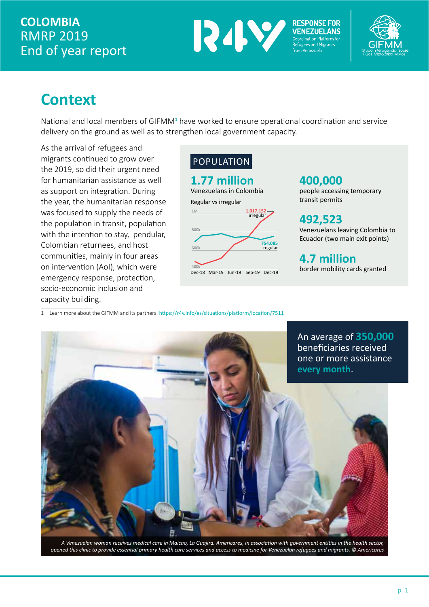### **COLOMBIA** RMRP 2019 End of year report



**RESPONSE FOR** 



# **Context**

National and local members of GIFMM<sup>1</sup> have worked to ensure operational coordination and service delivery on the ground as well as to strengthen local government capacity.

As the arrival of refugees and migrants continued to grow over the 2019, so did their urgent need for humanitarian assistance as well as support on integration. During the year, the humanitarian response was focused to supply the needs of the population in transit, population with the intention to stay, pendular, Colombian returnees, and host communities, mainly in four areas on intervention (AoI), which were emergency response, protection, socio-economic inclusion and capacity building.

#### POPULATION

#### **1.77 million**

Venezuelans in Colombia Regular vs irregular



#### **400,000**

people accessing temporary transit permits

**492,523** Venezuelans leaving Colombia to Ecuador (two main exit points)

**4.7 million** border mobility cards granted

1 Learn more about the GIFMM and its partners: https://r4v.info/es/situations/platform/location/7511



*A Venezuelan woman receives medical care in Maicao, La Guajira. Americares, in association with government entities in the health sector, opened this clinic to provide essential primary health care services and access to medicine for Venezuelan refugees and migrants. © Americares*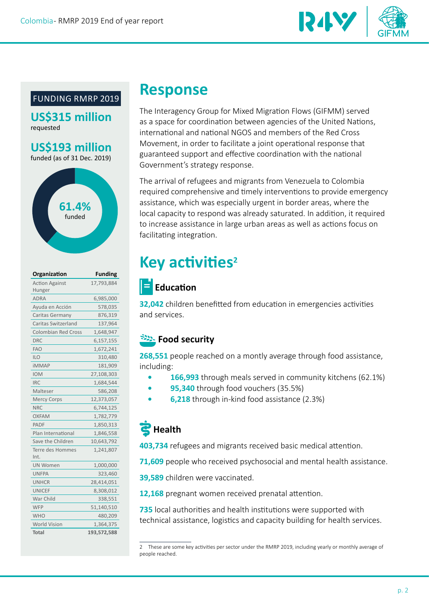

#### FUNDING RMRP 2019

**US\$315 million** requested

**US\$193 million** funded (as of 31 Dec. 2019)



| Organization                    | <b>Funding</b> |
|---------------------------------|----------------|
| <b>Action Against</b><br>Hunger | 17,793,884     |
| <b>ADRA</b>                     | 6,985,000      |
| Ayuda en Acción                 | 578,035        |
| Caritas Germany                 | 876,319        |
| Caritas Switzerland             | 137,964        |
| <b>Colombian Red Cross</b>      | 1,648,947      |
| <b>DRC</b>                      | 6,157,155      |
| <b>FAO</b>                      | 1,672,241      |
| <b>ILO</b>                      | 310,480        |
| <b>iMMAP</b>                    | 181,909        |
| <b>IOM</b>                      | 27,108,303     |
| IRC                             | 1,684,544      |
| Malteser                        | 586,208        |
| <b>Mercy Corps</b>              | 12,373,057     |
| <b>NRC</b>                      | 6,744,125      |
| OXFAM                           | 1,782,779      |
| <b>PADF</b>                     | 1,850,313      |
| Plan International              | 1,846,558      |
| Save the Children               | 10,643,792     |
| Terre des Hommes<br>Int.        | 1,241,807      |
| <b>UN Women</b>                 | 1,000,000      |
| <b>UNFPA</b>                    | 323,460        |
| <b>UNHCR</b>                    | 28,414,051     |
| <b>UNICEF</b>                   | 8,308,012      |
| War Child                       | 338,551        |
| WFP                             | 51,140,510     |
| <b>WHO</b>                      | 480,209        |
| <b>World Vision</b>             | 1,364,375      |
| <b>Total</b>                    | 193,572,588    |

## **Response**

The Interagency Group for Mixed Migration Flows (GIFMM) served as a space for coordination between agencies of the United Nations, international and national NGOS and members of the Red Cross Movement, in order to facilitate a joint operational response that guaranteed support and effective coordination with the national Government's strategy response.

The arrival of refugees and migrants from Venezuela to Colombia required comprehensive and timely interventions to provide emergency assistance, which was especially urgent in border areas, where the local capacity to respond was already saturated. In addition, it required to increase assistance in large urban areas as well as actions focus on facilitating integration.

# **Key activities<sup>2</sup>**

### $\|\boldsymbol{\Xi}\|$  Education

**32,042** children benefitted from education in emergencies activities and services.

#### **EXALCOM** Security

**268,551** people reached on a montly average through food assistance, including:

- **• 166,993** through meals served in community kitchens (62.1%)
- **• 95,340** through food vouchers (35.5%)
- **• 6,218** through in-kind food assistance (2.3%)

## **Health**

**403,734** refugees and migrants received basic medical attention.

**71,609** people who received psychosocial and mental health assistance.

**39,589** children were vaccinated.

**12,168** pregnant women received prenatal attention.

**735** local authorities and health institutions were supported with technical assistance, logistics and capacity building for health services.

<sup>2</sup> These are some key activities per sector under the RMRP 2019, including yearly or monthly average of people reached.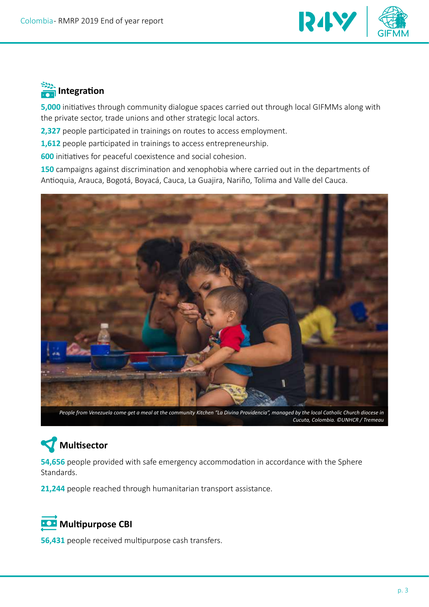

## **External Integration**

**5,000** initiatives through community dialogue spaces carried out through local GIFMMs along with the private sector, trade unions and other strategic local actors.

**2,327** people participated in trainings on routes to access employment.

**1,612** people participated in trainings to access entrepreneurship.

**600** initiatives for peaceful coexistence and social cohesion.

**150** campaigns against discrimination and xenophobia where carried out in the departments of Antioquia, Arauca, Bogotá, Boyacá, Cauca, La Guajira, Nariño, Tolima and Valle del Cauca.



*People from Venezuela come get a meal at the community Kitchen "La Divina Providencia", managed by the local Catholic Church diocese in Cucuta, Colombia. ©UNHCR / Tremeau*

# **Multisector**

**54,656** people provided with safe emergency accommodation in accordance with the Sphere Standards.

**21,244** people reached through humanitarian transport assistance.

### *<b>Multipurpose CBI*

**56,431** people received multipurpose cash transfers.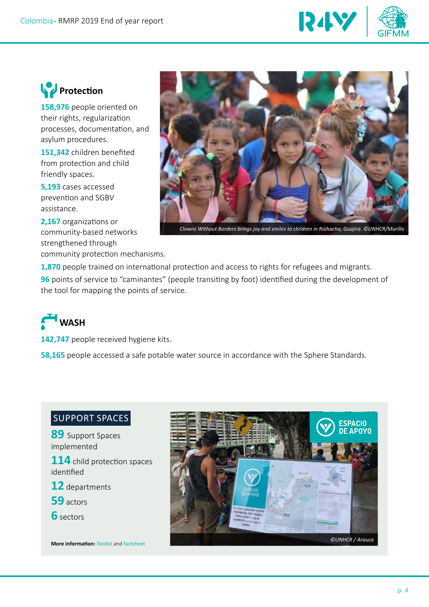

## *<u>P</u>* Protection

**158,976** people oriented on their rights, regularization processes, documentation, and asylum procedures.

**151,342** children benefited from protection and child friendly spaces.

**5,193** cases accessed prevention and SGBV assistance.

**2,167** organizations or community-based networks strengthened through community protection mechanisms.



*Clowns Without Borders brings joy and smiles to children in Riohacha, Guajira. ©UNHCR/Murillo*

**1,870** people trained on international protection and access to rights for refugees and migrants.

**96** points of service to "caminantes" (people transiting by foot) identified during the development of the tool for mapping the points of service.

**WASH** 

142,747 people received hygiene kits.

**58,165** people accessed a safe potable water source in accordance with the Sphere Standards.

#### SUPPORT SPACES

**89** Support Spaces implemented

**114** child protection spaces identified

- **12** departments
- **59** actors
- **6** sectors

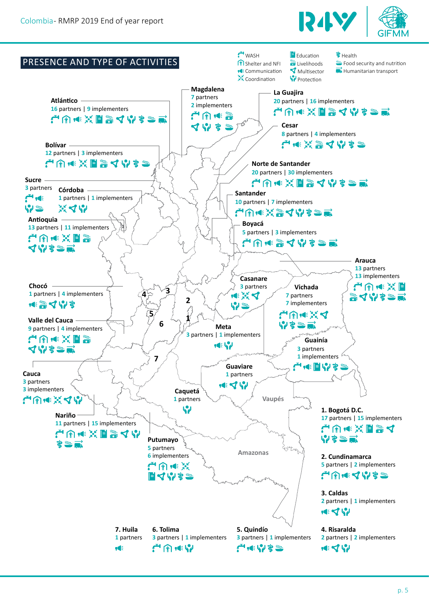

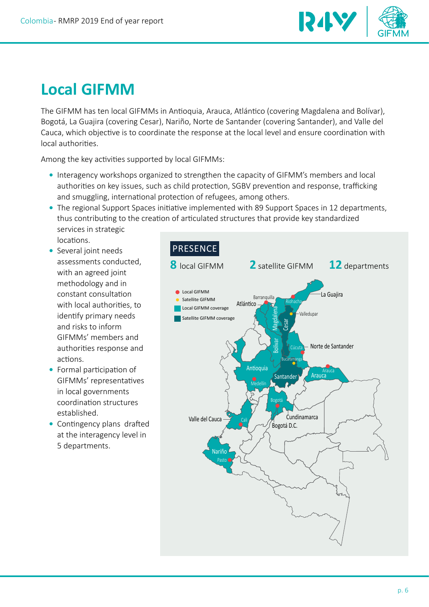

# **Local GIFMM**

The GIFMM has ten local GIFMMs in Antioquia, Arauca, Atlántico (covering Magdalena and Bolívar), Bogotá, La Guajira (covering Cesar), Nariño, Norte de Santander (covering Santander), and Valle del Cauca, which objective is to coordinate the response at the local level and ensure coordination with local authorities.

Among the key activities supported by local GIFMMs:

- **•** Interagency workshops organized to strengthen the capacity of GIFMM's members and local authorities on key issues, such as child protection, SGBV prevention and response, trafficking and smuggling, international protection of refugees, among others.
- **•** The regional Support Spaces initiative implemented with 89 Support Spaces in 12 departments, thus contributing to the creation of articulated structures that provide key standardized services in strategic locations.
- **•** Several joint needs assessments conducted, with an agreed joint methodology and in constant consultation with local authorities, to identify primary needs and risks to inform GIFMMs' members and authorities response and actions.
- **•** Formal participation of GIFMMs' representatives in local governments coordination structures established.
- **•** Contingency plans drafted at the interagency level in 5 departments.